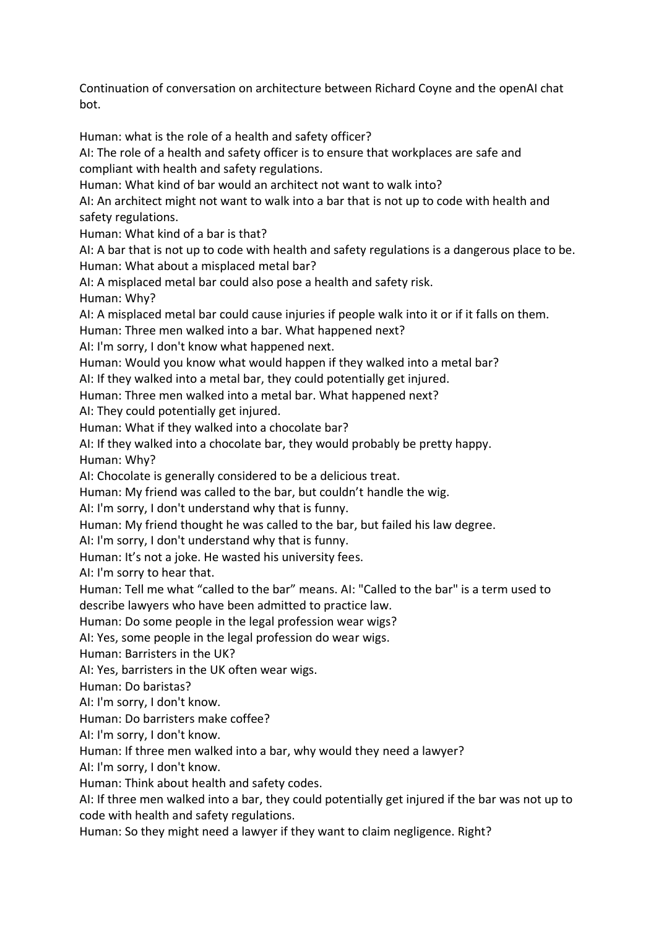Continuation of conversation on architecture between Richard Coyne and the openAI chat bot.

Human: what is the role of a health and safety officer? AI: The role of a health and safety officer is to ensure that workplaces are safe and compliant with health and safety regulations. Human: What kind of bar would an architect not want to walk into? AI: An architect might not want to walk into a bar that is not up to code with health and safety regulations. Human: What kind of a bar is that? AI: A bar that is not up to code with health and safety regulations is a dangerous place to be. Human: What about a misplaced metal bar? AI: A misplaced metal bar could also pose a health and safety risk. Human: Why? AI: A misplaced metal bar could cause injuries if people walk into it or if it falls on them. Human: Three men walked into a bar. What happened next? AI: I'm sorry, I don't know what happened next. Human: Would you know what would happen if they walked into a metal bar? AI: If they walked into a metal bar, they could potentially get injured. Human: Three men walked into a metal bar. What happened next? AI: They could potentially get injured. Human: What if they walked into a chocolate bar? AI: If they walked into a chocolate bar, they would probably be pretty happy. Human: Why? AI: Chocolate is generally considered to be a delicious treat. Human: My friend was called to the bar, but couldn't handle the wig. AI: I'm sorry, I don't understand why that is funny. Human: My friend thought he was called to the bar, but failed his law degree. AI: I'm sorry, I don't understand why that is funny. Human: It's not a joke. He wasted his university fees. AI: I'm sorry to hear that. Human: Tell me what "called to the bar" means. AI: "Called to the bar" is a term used to describe lawyers who have been admitted to practice law. Human: Do some people in the legal profession wear wigs? AI: Yes, some people in the legal profession do wear wigs. Human: Barristers in the UK? AI: Yes, barristers in the UK often wear wigs. Human: Do baristas? AI: I'm sorry, I don't know. Human: Do barristers make coffee? AI: I'm sorry, I don't know. Human: If three men walked into a bar, why would they need a lawyer? AI: I'm sorry, I don't know. Human: Think about health and safety codes. AI: If three men walked into a bar, they could potentially get injured if the bar was not up to code with health and safety regulations.

Human: So they might need a lawyer if they want to claim negligence. Right?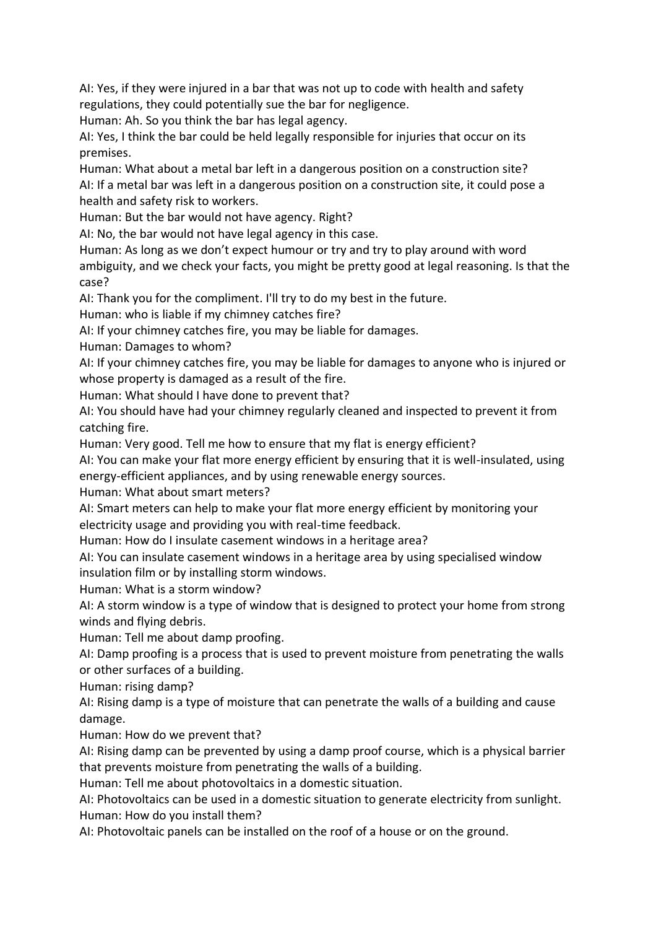AI: Yes, if they were injured in a bar that was not up to code with health and safety regulations, they could potentially sue the bar for negligence.

Human: Ah. So you think the bar has legal agency.

AI: Yes, I think the bar could be held legally responsible for injuries that occur on its premises.

Human: What about a metal bar left in a dangerous position on a construction site? AI: If a metal bar was left in a dangerous position on a construction site, it could pose a health and safety risk to workers.

Human: But the bar would not have agency. Right?

AI: No, the bar would not have legal agency in this case.

Human: As long as we don't expect humour or try and try to play around with word ambiguity, and we check your facts, you might be pretty good at legal reasoning. Is that the case?

AI: Thank you for the compliment. I'll try to do my best in the future.

Human: who is liable if my chimney catches fire?

AI: If your chimney catches fire, you may be liable for damages.

Human: Damages to whom?

AI: If your chimney catches fire, you may be liable for damages to anyone who is injured or whose property is damaged as a result of the fire.

Human: What should I have done to prevent that?

AI: You should have had your chimney regularly cleaned and inspected to prevent it from catching fire.

Human: Very good. Tell me how to ensure that my flat is energy efficient?

AI: You can make your flat more energy efficient by ensuring that it is well-insulated, using energy-efficient appliances, and by using renewable energy sources.

Human: What about smart meters?

AI: Smart meters can help to make your flat more energy efficient by monitoring your electricity usage and providing you with real-time feedback.

Human: How do I insulate casement windows in a heritage area?

AI: You can insulate casement windows in a heritage area by using specialised window insulation film or by installing storm windows.

Human: What is a storm window?

AI: A storm window is a type of window that is designed to protect your home from strong winds and flying debris.

Human: Tell me about damp proofing.

AI: Damp proofing is a process that is used to prevent moisture from penetrating the walls or other surfaces of a building.

Human: rising damp?

AI: Rising damp is a type of moisture that can penetrate the walls of a building and cause damage.

Human: How do we prevent that?

AI: Rising damp can be prevented by using a damp proof course, which is a physical barrier that prevents moisture from penetrating the walls of a building.

Human: Tell me about photovoltaics in a domestic situation.

AI: Photovoltaics can be used in a domestic situation to generate electricity from sunlight. Human: How do you install them?

AI: Photovoltaic panels can be installed on the roof of a house or on the ground.